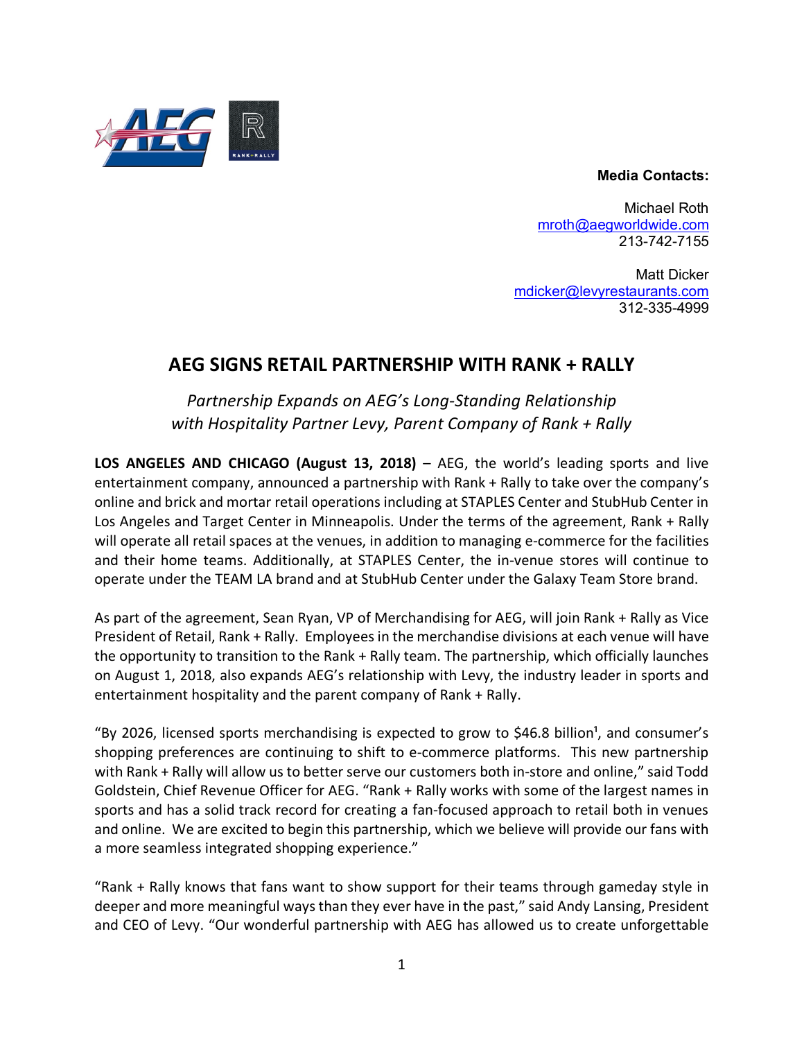## **Media Contacts:**



Michael Roth mroth@aegworldwide.com 213-742-7155

Matt Dicker mdicker@levyrestaurants.com 312-335-4999

## **AEG SIGNS RETAIL PARTNERSHIP WITH RANK + RALLY**

*Partnership Expands on AEG's Long-Standing Relationship with Hospitality Partner Levy, Parent Company of Rank + Rally*

**LOS ANGELES AND CHICAGO (August 13, 2018)** – AEG, the world's leading sports and live entertainment company, announced a partnership with Rank + Rally to take over the company's online and brick and mortar retail operations including at STAPLES Center and StubHub Center in Los Angeles and Target Center in Minneapolis. Under the terms of the agreement, Rank + Rally will operate all retail spaces at the venues, in addition to managing e-commerce for the facilities and their home teams. Additionally, at STAPLES Center, the in-venue stores will continue to operate under the TEAM LA brand and at StubHub Center under the Galaxy Team Store brand.

As part of the agreement, Sean Ryan, VP of Merchandising for AEG, will join Rank + Rally as Vice President of Retail, Rank + Rally. Employees in the merchandise divisions at each venue will have the opportunity to transition to the Rank + Rally team. The partnership, which officially launches on August 1, 2018, also expands AEG's relationship with Levy, the industry leader in sports and entertainment hospitality and the parent company of Rank + Rally.

"By 2026, licensed sports merchandising is expected to grow to \$46.8 billion<sup>1</sup>, and consumer's shopping preferences are continuing to shift to e-commerce platforms. This new partnership with Rank + Rally will allow us to better serve our customers both in-store and online," said Todd Goldstein, Chief Revenue Officer for AEG. "Rank + Rally works with some of the largest names in sports and has a solid track record for creating a fan-focused approach to retail both in venues and online. We are excited to begin this partnership, which we believe will provide our fans with a more seamless integrated shopping experience."

"Rank + Rally knows that fans want to show support for their teams through gameday style in deeper and more meaningful ways than they ever have in the past," said Andy Lansing, President and CEO of Levy. "Our wonderful partnership with AEG has allowed us to create unforgettable